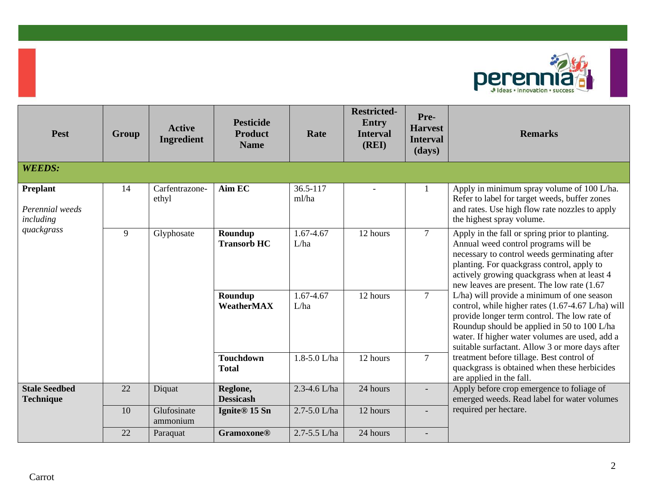

| <b>Pest</b>                                     | Group | <b>Active</b><br>Ingredient | <b>Pesticide</b><br><b>Product</b><br><b>Name</b> | Rate              | <b>Restricted-</b><br><b>Entry</b><br><b>Interval</b><br>(REI) | Pre-<br><b>Harvest</b><br><b>Interval</b><br>(days) | <b>Remarks</b>                                                                                                                                                                                                                                                                                      |
|-------------------------------------------------|-------|-----------------------------|---------------------------------------------------|-------------------|----------------------------------------------------------------|-----------------------------------------------------|-----------------------------------------------------------------------------------------------------------------------------------------------------------------------------------------------------------------------------------------------------------------------------------------------------|
| <b>WEEDS:</b>                                   |       |                             |                                                   |                   |                                                                |                                                     |                                                                                                                                                                                                                                                                                                     |
| <b>Preplant</b><br>Perennial weeds<br>including | 14    | Carfentrazone-<br>ethyl     | Aim EC                                            | 36.5-117<br>ml/ha | $\overline{\phantom{a}}$                                       | 1                                                   | Apply in minimum spray volume of 100 L/ha.<br>Refer to label for target weeds, buffer zones<br>and rates. Use high flow rate nozzles to apply<br>the highest spray volume.                                                                                                                          |
| quackgrass                                      | 9     | Glyphosate                  | Roundup<br><b>Transorb HC</b>                     | 1.67-4.67<br>L/ha | 12 hours                                                       | $7^{\circ}$                                         | Apply in the fall or spring prior to planting.<br>Annual weed control programs will be<br>necessary to control weeds germinating after<br>planting. For quackgrass control, apply to<br>actively growing quackgrass when at least 4<br>new leaves are present. The low rate (1.67)                  |
|                                                 |       |                             | Roundup<br>WeatherMAX                             | 1.67-4.67<br>L/ha | 12 hours                                                       | 7 <sup>1</sup>                                      | L/ha) will provide a minimum of one season<br>control, while higher rates (1.67-4.67 L/ha) will<br>provide longer term control. The low rate of<br>Roundup should be applied in 50 to 100 L/ha<br>water. If higher water volumes are used, add a<br>suitable surfactant. Allow 3 or more days after |
|                                                 |       |                             | <b>Touchdown</b><br><b>Total</b>                  | 1.8-5.0 L/ha      | 12 hours                                                       | $\overline{7}$                                      | treatment before tillage. Best control of<br>quackgrass is obtained when these herbicides<br>are applied in the fall.                                                                                                                                                                               |
| <b>Stale Seedbed</b><br><b>Technique</b>        | 22    | Diquat                      | Reglone,<br><b>Dessicash</b>                      | 2.3-4.6 L/ha      | 24 hours                                                       |                                                     | Apply before crop emergence to foliage of<br>emerged weeds. Read label for water volumes                                                                                                                                                                                                            |
|                                                 | 10    | Glufosinate<br>ammonium     | Ignite <sup>®</sup> 15 Sn                         | 2.7-5.0 L/ha      | 12 hours                                                       |                                                     | required per hectare.                                                                                                                                                                                                                                                                               |
|                                                 | 22    | Paraquat                    | <b>Gramoxone®</b>                                 | 2.7-5.5 L/ha      | 24 hours                                                       |                                                     |                                                                                                                                                                                                                                                                                                     |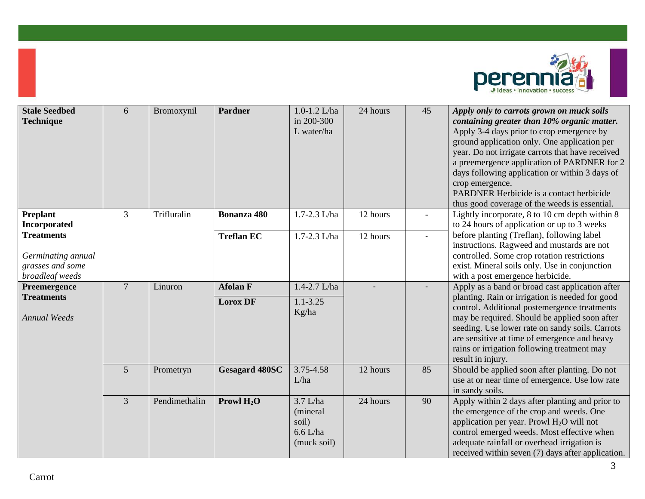

| <b>Stale Seedbed</b><br><b>Technique</b>                                       | 6              | Bromoxynil    | <b>Pardner</b>        | $1.0 - 1.2$ L/ha<br>in 200-300<br>L water/ha                 | 24 hours | 45 | Apply only to carrots grown on muck soils<br>containing greater than 10% organic matter.<br>Apply 3-4 days prior to crop emergence by<br>ground application only. One application per<br>year. Do not irrigate carrots that have received<br>a preemergence application of PARDNER for 2<br>days following application or within 3 days of<br>crop emergence.<br>PARDNER Herbicide is a contact herbicide<br>thus good coverage of the weeds is essential. |
|--------------------------------------------------------------------------------|----------------|---------------|-----------------------|--------------------------------------------------------------|----------|----|------------------------------------------------------------------------------------------------------------------------------------------------------------------------------------------------------------------------------------------------------------------------------------------------------------------------------------------------------------------------------------------------------------------------------------------------------------|
| <b>Preplant</b><br>Incorporated                                                | $\overline{3}$ | Trifluralin   | Bonanza 480           | 1.7-2.3 L/ha                                                 | 12 hours |    | Lightly incorporate, 8 to 10 cm depth within 8<br>to 24 hours of application or up to 3 weeks                                                                                                                                                                                                                                                                                                                                                              |
| <b>Treatments</b><br>Germinating annual<br>grasses and some<br>broadleaf weeds |                |               | <b>Treflan EC</b>     | 1.7-2.3 L/ha                                                 | 12 hours |    | before planting (Treflan), following label<br>instructions. Ragweed and mustards are not<br>controlled. Some crop rotation restrictions<br>exist. Mineral soils only. Use in conjunction<br>with a post emergence herbicide.                                                                                                                                                                                                                               |
| Preemergence                                                                   | $\overline{7}$ | Linuron       | <b>Afolan F</b>       | 1.4-2.7 L/ha                                                 |          |    | Apply as a band or broad cast application after                                                                                                                                                                                                                                                                                                                                                                                                            |
| <b>Treatments</b><br><b>Annual Weeds</b>                                       |                |               | <b>Lorox DF</b>       | $1.1 - 3.25$<br>Kg/ha                                        |          |    | planting. Rain or irrigation is needed for good<br>control. Additional postemergence treatments<br>may be required. Should be applied soon after<br>seeding. Use lower rate on sandy soils. Carrots<br>are sensitive at time of emergence and heavy<br>rains or irrigation following treatment may<br>result in injury.                                                                                                                                    |
|                                                                                | 5              | Prometryn     | <b>Gesagard 480SC</b> | 3.75-4.58<br>L/ha                                            | 12 hours | 85 | Should be applied soon after planting. Do not<br>use at or near time of emergence. Use low rate<br>in sandy soils.                                                                                                                                                                                                                                                                                                                                         |
|                                                                                | $\overline{3}$ | Pendimethalin | Prowl $H_2O$          | $3.7$ L/ha<br>(mineral<br>soil)<br>$6.6$ L/ha<br>(muck soil) | 24 hours | 90 | Apply within 2 days after planting and prior to<br>the emergence of the crop and weeds. One<br>application per year. Prowl H <sub>2</sub> O will not<br>control emerged weeds. Most effective when<br>adequate rainfall or overhead irrigation is<br>received within seven (7) days after application.                                                                                                                                                     |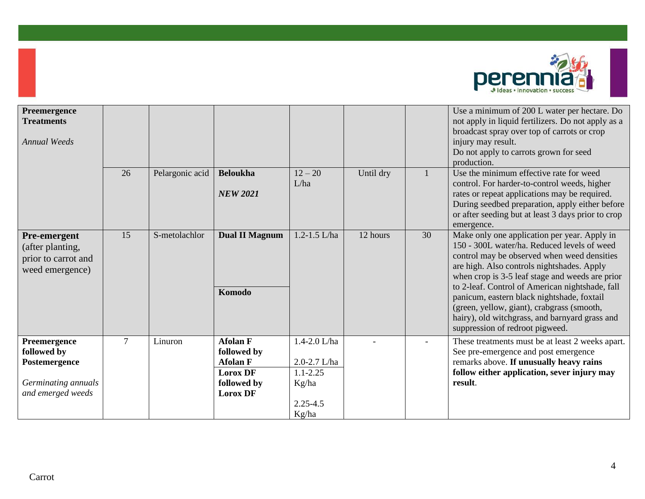

| Preemergence<br><b>Treatments</b><br><b>Annual Weeds</b>                                 |    |                 |                                                                                                        |                                                                                |           |    | Use a minimum of 200 L water per hectare. Do<br>not apply in liquid fertilizers. Do not apply as a<br>broadcast spray over top of carrots or crop<br>injury may result.<br>Do not apply to carrots grown for seed<br>production.                                                                                                                                                                                                                                                |
|------------------------------------------------------------------------------------------|----|-----------------|--------------------------------------------------------------------------------------------------------|--------------------------------------------------------------------------------|-----------|----|---------------------------------------------------------------------------------------------------------------------------------------------------------------------------------------------------------------------------------------------------------------------------------------------------------------------------------------------------------------------------------------------------------------------------------------------------------------------------------|
|                                                                                          | 26 | Pelargonic acid | <b>Beloukha</b><br><b>NEW 2021</b>                                                                     | $12 - 20$<br>L/ha                                                              | Until dry |    | Use the minimum effective rate for weed<br>control. For harder-to-control weeds, higher<br>rates or repeat applications may be required.<br>During seedbed preparation, apply either before<br>or after seeding but at least 3 days prior to crop<br>emergence.                                                                                                                                                                                                                 |
| Pre-emergent<br>(after planting,<br>prior to carrot and<br>weed emergence)               | 15 | S-metolachlor   | <b>Dual II Magnum</b><br>Komodo                                                                        | $1.2 - 1.5$ L/ha                                                               | 12 hours  | 30 | Make only one application per year. Apply in<br>150 - 300L water/ha. Reduced levels of weed<br>control may be observed when weed densities<br>are high. Also controls nightshades. Apply<br>when crop is 3-5 leaf stage and weeds are prior<br>to 2-leaf. Control of American nightshade, fall<br>panicum, eastern black nightshade, foxtail<br>(green, yellow, giant), crabgrass (smooth,<br>hairy), old witchgrass, and barnyard grass and<br>suppression of redroot pigweed. |
| Preemergence<br>followed by<br>Postemergence<br>Germinating annuals<br>and emerged weeds | 7  | Linuron         | <b>Afolan F</b><br>followed by<br><b>Afolan F</b><br><b>Lorox DF</b><br>followed by<br><b>Lorox DF</b> | 1.4-2.0 L/ha<br>2.0-2.7 L/ha<br>$1.1 - 2.25$<br>Kg/ha<br>$2.25 - 4.5$<br>Kg/ha |           |    | These treatments must be at least 2 weeks apart.<br>See pre-emergence and post emergence<br>remarks above. If unusually heavy rains<br>follow either application, sever injury may<br>result.                                                                                                                                                                                                                                                                                   |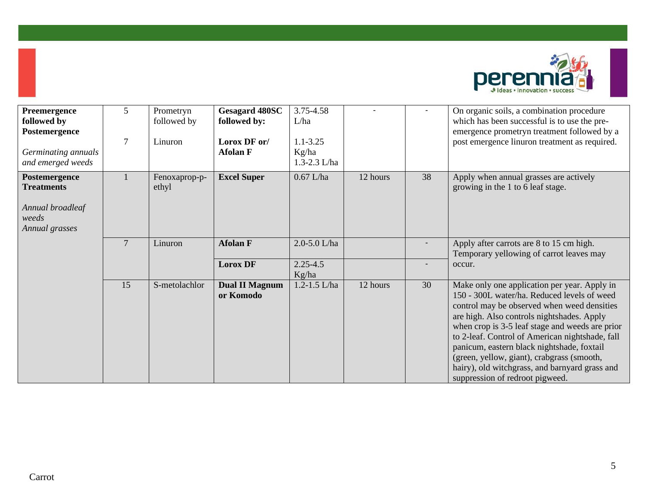

| Preemergence<br>followed by<br>Postemergence<br>Germinating annuals<br>and emerged weeds | 5<br>$7\phantom{.0}$ | Prometryn<br>followed by<br>Linuron | <b>Gesagard 480SC</b><br>followed by:<br>Lorox DF or/<br><b>Afolan F</b> | 3.75-4.58<br>L/ha<br>$1.1 - 3.25$<br>Kg/ha<br>1.3-2.3 L/ha |          |    | On organic soils, a combination procedure<br>which has been successful is to use the pre-<br>emergence prometryn treatment followed by a<br>post emergence linuron treatment as required.                                                                                                                                                                                                                                                                                       |
|------------------------------------------------------------------------------------------|----------------------|-------------------------------------|--------------------------------------------------------------------------|------------------------------------------------------------|----------|----|---------------------------------------------------------------------------------------------------------------------------------------------------------------------------------------------------------------------------------------------------------------------------------------------------------------------------------------------------------------------------------------------------------------------------------------------------------------------------------|
| Postemergence<br><b>Treatments</b><br>Annual broadleaf<br>weeds<br>Annual grasses        |                      | Fenoxaprop-p-<br>ethyl              | <b>Excel Super</b>                                                       | $0.67$ L/ha                                                | 12 hours | 38 | Apply when annual grasses are actively<br>growing in the 1 to 6 leaf stage.                                                                                                                                                                                                                                                                                                                                                                                                     |
|                                                                                          | $7\phantom{.0}$      | Linuron                             | <b>Afolan F</b>                                                          | 2.0-5.0 L/ha                                               |          |    | Apply after carrots are 8 to 15 cm high.<br>Temporary yellowing of carrot leaves may                                                                                                                                                                                                                                                                                                                                                                                            |
|                                                                                          |                      |                                     | <b>Lorox DF</b>                                                          | $2.25 - 4.5$<br>Kg/ha                                      |          |    | occur.                                                                                                                                                                                                                                                                                                                                                                                                                                                                          |
|                                                                                          | 15                   | S-metolachlor                       | <b>Dual II Magnum</b><br>or Komodo                                       | $1.2 - 1.5$ L/ha                                           | 12 hours | 30 | Make only one application per year. Apply in<br>150 - 300L water/ha. Reduced levels of weed<br>control may be observed when weed densities<br>are high. Also controls nightshades. Apply<br>when crop is 3-5 leaf stage and weeds are prior<br>to 2-leaf. Control of American nightshade, fall<br>panicum, eastern black nightshade, foxtail<br>(green, yellow, giant), crabgrass (smooth,<br>hairy), old witchgrass, and barnyard grass and<br>suppression of redroot pigweed. |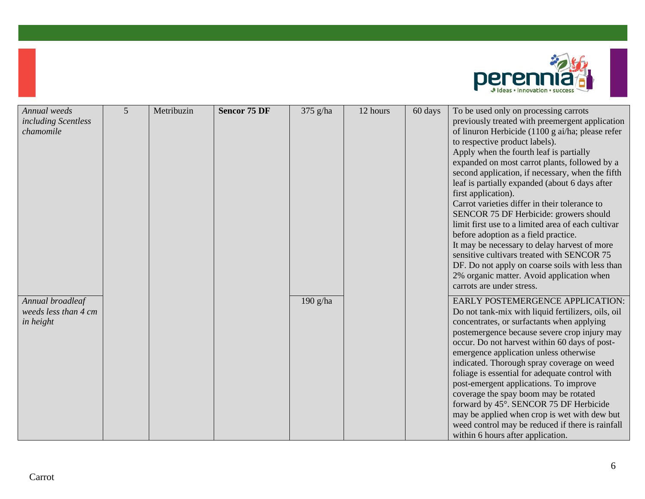

| Annual weeds                                          | $5\overline{)}$ | Metribuzin | <b>Sencor 75 DF</b> |          | 12 hours |         |                                                                                                                                                                                                                                                                                                                                                                                                                                                                                                                                                                                                                                                                                                                                                                                                                             |
|-------------------------------------------------------|-----------------|------------|---------------------|----------|----------|---------|-----------------------------------------------------------------------------------------------------------------------------------------------------------------------------------------------------------------------------------------------------------------------------------------------------------------------------------------------------------------------------------------------------------------------------------------------------------------------------------------------------------------------------------------------------------------------------------------------------------------------------------------------------------------------------------------------------------------------------------------------------------------------------------------------------------------------------|
| including Scentless<br>chamomile                      |                 |            |                     | 375 g/ha |          | 60 days | To be used only on processing carrots<br>previously treated with preemergent application<br>of linuron Herbicide (1100 g ai/ha; please refer<br>to respective product labels).<br>Apply when the fourth leaf is partially<br>expanded on most carrot plants, followed by a<br>second application, if necessary, when the fifth<br>leaf is partially expanded (about 6 days after<br>first application).<br>Carrot varieties differ in their tolerance to<br>SENCOR 75 DF Herbicide: growers should<br>limit first use to a limited area of each cultivar<br>before adoption as a field practice.<br>It may be necessary to delay harvest of more<br>sensitive cultivars treated with SENCOR 75<br>DF. Do not apply on coarse soils with less than<br>2% organic matter. Avoid application when<br>carrots are under stress. |
| Annual broadleaf<br>weeds less than 4 cm<br>in height |                 |            |                     | 190 g/ha |          |         | EARLY POSTEMERGENCE APPLICATION:<br>Do not tank-mix with liquid fertilizers, oils, oil<br>concentrates, or surfactants when applying<br>postemergence because severe crop injury may<br>occur. Do not harvest within 60 days of post-<br>emergence application unless otherwise<br>indicated. Thorough spray coverage on weed<br>foliage is essential for adequate control with<br>post-emergent applications. To improve<br>coverage the spay boom may be rotated<br>forward by 45°. SENCOR 75 DF Herbicide<br>may be applied when crop is wet with dew but<br>weed control may be reduced if there is rainfall<br>within 6 hours after application.                                                                                                                                                                       |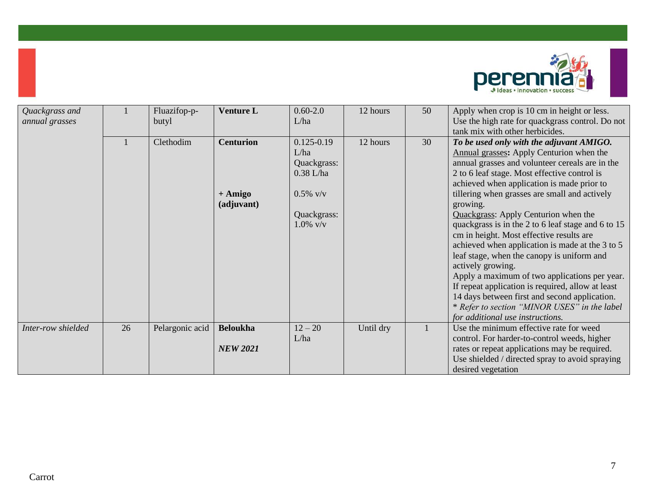

| Quackgrass and<br>annual grasses |    | Fluazifop-p-<br>butyl | <b>Venture L</b>                            | $0.60 - 2.0$<br>L/ha                                                                              | 12 hours  | 50 | Apply when crop is 10 cm in height or less.<br>Use the high rate for quackgrass control. Do not<br>tank mix with other herbicides.                                                                                                                                                                                                                                                                                                                                                                                                                                                                                                                                                                                                                                                                            |
|----------------------------------|----|-----------------------|---------------------------------------------|---------------------------------------------------------------------------------------------------|-----------|----|---------------------------------------------------------------------------------------------------------------------------------------------------------------------------------------------------------------------------------------------------------------------------------------------------------------------------------------------------------------------------------------------------------------------------------------------------------------------------------------------------------------------------------------------------------------------------------------------------------------------------------------------------------------------------------------------------------------------------------------------------------------------------------------------------------------|
|                                  |    | Clethodim             | <b>Centurion</b><br>$+ Amigo$<br>(adjuvant) | $0.125 - 0.19$<br>L/ha<br>Quackgrass:<br>$0.38$ L/ha<br>$0.5\%$ v/v<br>Quackgrass:<br>$1.0\%$ v/v | 12 hours  | 30 | To be used only with the adjuvant AMIGO.<br>Annual grasses: Apply Centurion when the<br>annual grasses and volunteer cereals are in the<br>2 to 6 leaf stage. Most effective control is<br>achieved when application is made prior to<br>tillering when grasses are small and actively<br>growing.<br>Quackgrass: Apply Centurion when the<br>quackgrass is in the 2 to 6 leaf stage and 6 to 15<br>cm in height. Most effective results are<br>achieved when application is made at the 3 to 5<br>leaf stage, when the canopy is uniform and<br>actively growing.<br>Apply a maximum of two applications per year.<br>If repeat application is required, allow at least<br>14 days between first and second application.<br>* Refer to section "MINOR USES" in the label<br>for additional use instructions. |
| Inter-row shielded               | 26 | Pelargonic acid       | <b>Beloukha</b><br><b>NEW 2021</b>          | $12 - 20$<br>L/ha                                                                                 | Until dry |    | Use the minimum effective rate for weed<br>control. For harder-to-control weeds, higher<br>rates or repeat applications may be required.<br>Use shielded / directed spray to avoid spraying<br>desired vegetation                                                                                                                                                                                                                                                                                                                                                                                                                                                                                                                                                                                             |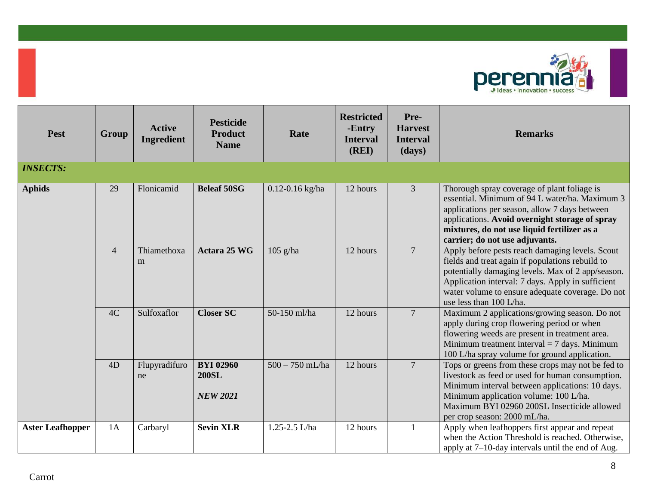

| <b>Pest</b>             | Group          | <b>Active</b><br>Ingredient | <b>Pesticide</b><br><b>Product</b><br><b>Name</b>   | Rate                | <b>Restricted</b><br>-Entry<br><b>Interval</b><br>(REI) | Pre-<br><b>Harvest</b><br><b>Interval</b><br>(days) | <b>Remarks</b>                                                                                                                                                                                                                                                                               |
|-------------------------|----------------|-----------------------------|-----------------------------------------------------|---------------------|---------------------------------------------------------|-----------------------------------------------------|----------------------------------------------------------------------------------------------------------------------------------------------------------------------------------------------------------------------------------------------------------------------------------------------|
| <b>INSECTS:</b>         |                |                             |                                                     |                     |                                                         |                                                     |                                                                                                                                                                                                                                                                                              |
| <b>Aphids</b>           | 29             | Flonicamid                  | <b>Beleaf 50SG</b>                                  | $0.12 - 0.16$ kg/ha | 12 hours                                                | 3                                                   | Thorough spray coverage of plant foliage is<br>essential. Minimum of 94 L water/ha. Maximum 3<br>applications per season, allow 7 days between<br>applications. Avoid overnight storage of spray<br>mixtures, do not use liquid fertilizer as a<br>carrier; do not use adjuvants.            |
|                         | $\overline{4}$ | Thiamethoxa<br>m            | Actara 25 WG                                        | $105$ g/ha          | 12 hours                                                | $\overline{7}$                                      | Apply before pests reach damaging levels. Scout<br>fields and treat again if populations rebuild to<br>potentially damaging levels. Max of 2 app/season.<br>Application interval: 7 days. Apply in sufficient<br>water volume to ensure adequate coverage. Do not<br>use less than 100 L/ha. |
|                         | 4C             | Sulfoxaflor                 | <b>Closer SC</b>                                    | 50-150 ml/ha        | 12 hours                                                | $\overline{7}$                                      | Maximum 2 applications/growing season. Do not<br>apply during crop flowering period or when<br>flowering weeds are present in treatment area.<br>Minimum treatment interval $= 7$ days. Minimum<br>100 L/ha spray volume for ground application.                                             |
|                         | 4D             | Flupyradifuro<br>ne         | <b>BYI 02960</b><br><b>200SL</b><br><b>NEW 2021</b> | $500 - 750$ mL/ha   | 12 hours                                                | $\overline{7}$                                      | Tops or greens from these crops may not be fed to<br>livestock as feed or used for human consumption.<br>Minimum interval between applications: 10 days.<br>Minimum application volume: 100 L/ha.<br>Maximum BYI 02960 200SL Insecticide allowed<br>per crop season: 2000 mL/ha.             |
| <b>Aster Leafhopper</b> | 1A             | Carbaryl                    | <b>Sevin XLR</b>                                    | 1.25-2.5 L/ha       | 12 hours                                                | 1                                                   | Apply when leafhoppers first appear and repeat<br>when the Action Threshold is reached. Otherwise,<br>apply at $7-10$ -day intervals until the end of Aug.                                                                                                                                   |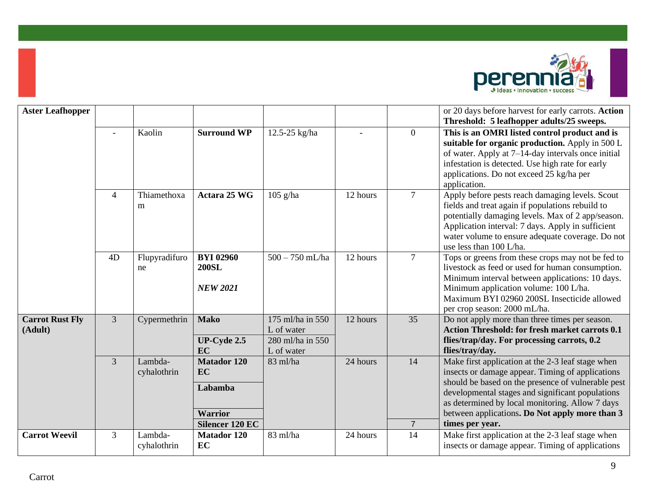

| <b>Aster Leafhopper</b>           |                |                        |                                                                                        |                                                                  |          |                      | or 20 days before harvest for early carrots. Action<br>Threshold: 5 leafhopper adults/25 sweeps.                                                                                                                                                                                                                                        |
|-----------------------------------|----------------|------------------------|----------------------------------------------------------------------------------------|------------------------------------------------------------------|----------|----------------------|-----------------------------------------------------------------------------------------------------------------------------------------------------------------------------------------------------------------------------------------------------------------------------------------------------------------------------------------|
|                                   |                | Kaolin                 | <b>Surround WP</b>                                                                     | 12.5-25 kg/ha                                                    |          | $\overline{0}$       | This is an OMRI listed control product and is<br>suitable for organic production. Apply in 500 L<br>of water. Apply at 7–14-day intervals once initial<br>infestation is detected. Use high rate for early<br>applications. Do not exceed 25 kg/ha per<br>application.                                                                  |
|                                   | $\overline{4}$ | Thiamethoxa<br>m       | Actara 25 WG                                                                           | $105$ g/ha                                                       | 12 hours | $\overline{7}$       | Apply before pests reach damaging levels. Scout<br>fields and treat again if populations rebuild to<br>potentially damaging levels. Max of 2 app/season.<br>Application interval: 7 days. Apply in sufficient<br>water volume to ensure adequate coverage. Do not<br>use less than 100 L/ha.                                            |
|                                   | 4D             | Flupyradifuro<br>ne    | <b>BYI 02960</b><br><b>200SL</b><br><b>NEW 2021</b>                                    | $500 - 750$ mL/ha                                                | 12 hours | $\overline{7}$       | Tops or greens from these crops may not be fed to<br>livestock as feed or used for human consumption.<br>Minimum interval between applications: 10 days.<br>Minimum application volume: 100 L/ha.<br>Maximum BYI 02960 200SL Insecticide allowed<br>per crop season: 2000 mL/ha.                                                        |
| <b>Carrot Rust Fly</b><br>(Adult) | $\overline{3}$ | Cypermethrin           | <b>Mako</b><br>UP-Cyde 2.5<br>EC                                                       | 175 ml/ha in 550<br>L of water<br>280 ml/ha in 550<br>L of water | 12 hours | 35                   | Do not apply more than three times per season.<br><b>Action Threshold: for fresh market carrots 0.1</b><br>flies/trap/day. For processing carrots, 0.2<br>flies/tray/day.                                                                                                                                                               |
|                                   | 3              | Lambda-<br>cyhalothrin | <b>Matador 120</b><br><b>EC</b><br>Labamba<br><b>Warrior</b><br><b>Silencer 120 EC</b> | $83$ ml/ha                                                       | 24 hours | 14<br>$\overline{7}$ | Make first application at the 2-3 leaf stage when<br>insects or damage appear. Timing of applications<br>should be based on the presence of vulnerable pest<br>developmental stages and significant populations<br>as determined by local monitoring. Allow 7 days<br>between applications. Do Not apply more than 3<br>times per year. |
| <b>Carrot Weevil</b>              | 3              | Lambda-<br>cyhalothrin | <b>Matador 120</b><br>EC                                                               | 83 ml/ha                                                         | 24 hours | 14                   | Make first application at the 2-3 leaf stage when<br>insects or damage appear. Timing of applications                                                                                                                                                                                                                                   |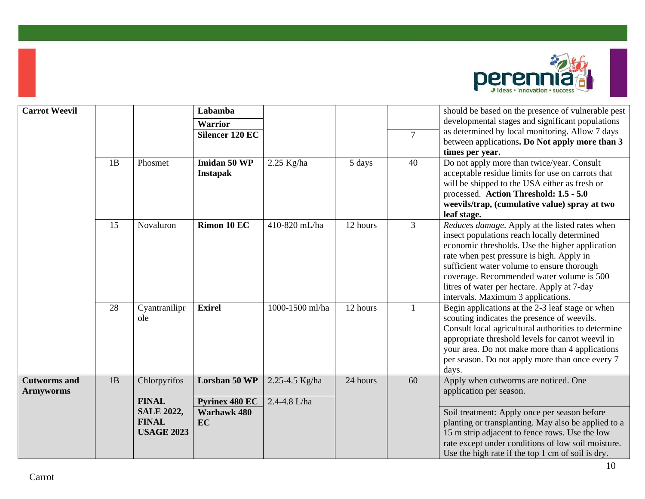

| <b>Carrot Weevil</b>                    |    |                                                        | Labamba<br><b>Warrior</b>              |                                |          |                | should be based on the presence of vulnerable pest<br>developmental stages and significant populations                                                                                                                                                                                                                                                                        |
|-----------------------------------------|----|--------------------------------------------------------|----------------------------------------|--------------------------------|----------|----------------|-------------------------------------------------------------------------------------------------------------------------------------------------------------------------------------------------------------------------------------------------------------------------------------------------------------------------------------------------------------------------------|
|                                         |    |                                                        | <b>Silencer 120 EC</b>                 |                                |          | $\overline{7}$ | as determined by local monitoring. Allow 7 days<br>between applications. Do Not apply more than 3                                                                                                                                                                                                                                                                             |
|                                         |    |                                                        |                                        |                                |          |                | times per year.                                                                                                                                                                                                                                                                                                                                                               |
|                                         | 1B | Phosmet                                                | Imidan 50 WP<br><b>Instapak</b>        | $2.25$ Kg/ha                   | 5 days   | 40             | Do not apply more than twice/year. Consult<br>acceptable residue limits for use on carrots that<br>will be shipped to the USA either as fresh or<br>processed. Action Threshold: 1.5 - 5.0<br>weevils/trap, (cumulative value) spray at two<br>leaf stage.                                                                                                                    |
|                                         | 15 | Novaluron                                              | Rimon 10 EC                            | 410-820 mL/ha                  | 12 hours | $\overline{3}$ | Reduces damage. Apply at the listed rates when<br>insect populations reach locally determined<br>economic thresholds. Use the higher application<br>rate when pest pressure is high. Apply in<br>sufficient water volume to ensure thorough<br>coverage. Recommended water volume is 500<br>litres of water per hectare. Apply at 7-day<br>intervals. Maximum 3 applications. |
|                                         | 28 | Cyantranilipr<br>ole                                   | <b>Exirel</b>                          | 1000-1500 ml/ha                | 12 hours | 1              | Begin applications at the 2-3 leaf stage or when<br>scouting indicates the presence of weevils.<br>Consult local agricultural authorities to determine<br>appropriate threshold levels for carrot weevil in<br>your area. Do not make more than 4 applications<br>per season. Do not apply more than once every 7<br>days.                                                    |
| <b>Cutworms</b> and<br><b>Armyworms</b> | 1B | Chlorpyrifos<br><b>FINAL</b>                           | Lorsban 50 WP<br><b>Pyrinex 480 EC</b> | 2.25-4.5 Kg/ha<br>2.4-4.8 L/ha | 24 hours | 60             | Apply when cutworms are noticed. One<br>application per season.                                                                                                                                                                                                                                                                                                               |
|                                         |    | <b>SALE 2022,</b><br><b>FINAL</b><br><b>USAGE 2023</b> | <b>Warhawk 480</b><br>EC               |                                |          |                | Soil treatment: Apply once per season before<br>planting or transplanting. May also be applied to a<br>15 m strip adjacent to fence rows. Use the low<br>rate except under conditions of low soil moisture.<br>Use the high rate if the top 1 cm of soil is dry.                                                                                                              |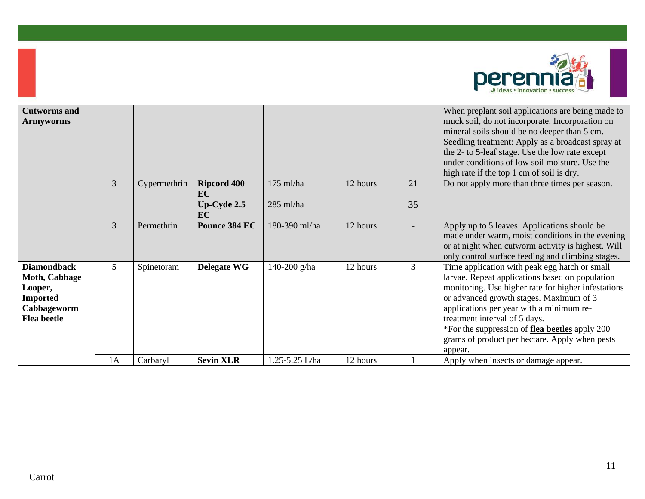

| <b>Cutworms and</b><br><b>Armyworms</b>                                                                       |                 |              |                          |                |          |                | When preplant soil applications are being made to<br>muck soil, do not incorporate. Incorporation on<br>mineral soils should be no deeper than 5 cm.<br>Seedling treatment: Apply as a broadcast spray at<br>the 2- to 5-leaf stage. Use the low rate except                                                                                                                                   |
|---------------------------------------------------------------------------------------------------------------|-----------------|--------------|--------------------------|----------------|----------|----------------|------------------------------------------------------------------------------------------------------------------------------------------------------------------------------------------------------------------------------------------------------------------------------------------------------------------------------------------------------------------------------------------------|
|                                                                                                               |                 |              |                          |                |          |                | under conditions of low soil moisture. Use the<br>high rate if the top 1 cm of soil is dry.                                                                                                                                                                                                                                                                                                    |
|                                                                                                               | $\overline{3}$  | Cypermethrin | <b>Ripcord 400</b><br>EC | $175$ ml/ha    | 12 hours | 21             | Do not apply more than three times per season.                                                                                                                                                                                                                                                                                                                                                 |
|                                                                                                               |                 |              | $Up-Cyde 2.5$<br>EC      | 285 ml/ha      |          | 35             |                                                                                                                                                                                                                                                                                                                                                                                                |
|                                                                                                               | $\overline{3}$  | Permethrin   | Pounce 384 EC            | 180-390 ml/ha  | 12 hours |                | Apply up to 5 leaves. Applications should be<br>made under warm, moist conditions in the evening<br>or at night when cutworm activity is highest. Will<br>only control surface feeding and climbing stages.                                                                                                                                                                                    |
| <b>Diamondback</b><br><b>Moth, Cabbage</b><br>Looper,<br><b>Imported</b><br>Cabbageworm<br><b>Flea</b> beetle | $5\overline{)}$ | Spinetoram   | Delegate WG              | 140-200 g/ha   | 12 hours | $\overline{3}$ | Time application with peak egg hatch or small<br>larvae. Repeat applications based on population<br>monitoring. Use higher rate for higher infestations<br>or advanced growth stages. Maximum of 3<br>applications per year with a minimum re-<br>treatment interval of 5 days.<br>*For the suppression of flea beetles apply 200<br>grams of product per hectare. Apply when pests<br>appear. |
|                                                                                                               | 1A              | Carbaryl     | <b>Sevin XLR</b>         | 1.25-5.25 L/ha | 12 hours |                | Apply when insects or damage appear.                                                                                                                                                                                                                                                                                                                                                           |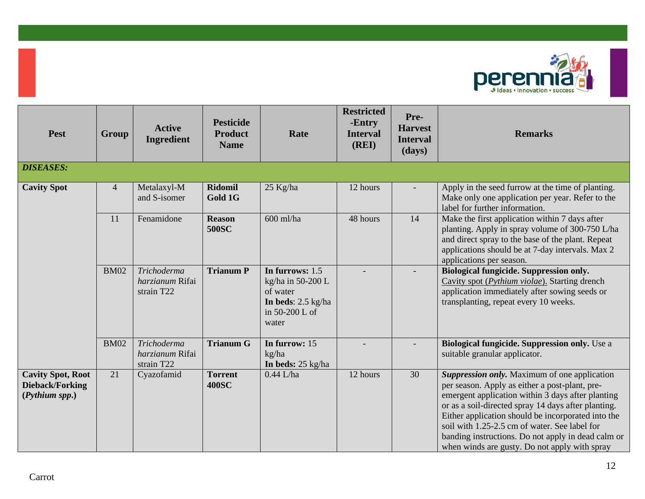

| <b>Pest</b>                                                   | Group          | <b>Active</b><br><b>Ingredient</b>           | <b>Pesticide</b><br><b>Product</b><br><b>Name</b> | Rate                                                                                                | <b>Restricted</b><br>-Entry<br><b>Interval</b><br>(REI) | Pre-<br><b>Harvest</b><br><b>Interval</b><br>(days) | <b>Remarks</b>                                                                                                                                                                                                                                                                                                                                                                                                           |
|---------------------------------------------------------------|----------------|----------------------------------------------|---------------------------------------------------|-----------------------------------------------------------------------------------------------------|---------------------------------------------------------|-----------------------------------------------------|--------------------------------------------------------------------------------------------------------------------------------------------------------------------------------------------------------------------------------------------------------------------------------------------------------------------------------------------------------------------------------------------------------------------------|
| <b>DISEASES:</b>                                              |                |                                              |                                                   |                                                                                                     |                                                         |                                                     |                                                                                                                                                                                                                                                                                                                                                                                                                          |
| <b>Cavity Spot</b>                                            | $\overline{4}$ | Metalaxyl-M<br>and S-isomer                  | <b>Ridomil</b><br>Gold 1G                         | 25 Kg/ha                                                                                            | 12 hours                                                |                                                     | Apply in the seed furrow at the time of planting.<br>Make only one application per year. Refer to the<br>label for further information.                                                                                                                                                                                                                                                                                  |
|                                                               | 11             | Fenamidone                                   | <b>Reason</b><br><b>500SC</b>                     | 600 ml/ha                                                                                           | 48 hours                                                | 14                                                  | Make the first application within 7 days after<br>planting. Apply in spray volume of 300-750 L/ha<br>and direct spray to the base of the plant. Repeat<br>applications should be at 7-day intervals. Max 2<br>applications per season.                                                                                                                                                                                   |
|                                                               | <b>BM02</b>    | Trichoderma<br>harzianum Rifai<br>strain T22 | <b>Trianum P</b>                                  | In furrows: 1.5<br>kg/ha in 50-200 L<br>of water<br>In beds: $2.5$ kg/ha<br>in 50-200 L of<br>water |                                                         |                                                     | Biological fungicide. Suppression only.<br>Cavity spot (Pythium violae). Starting drench<br>application immediately after sowing seeds or<br>transplanting, repeat every 10 weeks.                                                                                                                                                                                                                                       |
|                                                               | <b>BM02</b>    | Trichoderma<br>harzianum Rifai<br>strain T22 | <b>Trianum G</b>                                  | In furrow: 15<br>kg/ha<br>In beds: $25 \text{ kg/ha}$                                               |                                                         |                                                     | Biological fungicide. Suppression only. Use a<br>suitable granular applicator.                                                                                                                                                                                                                                                                                                                                           |
| <b>Cavity Spot, Root</b><br>Dieback/Forking<br>(Pythium spp.) | 21             | Cyazofamid                                   | <b>Torrent</b><br><b>400SC</b>                    | $0.44$ L/ha                                                                                         | 12 hours                                                | 30                                                  | Suppression only. Maximum of one application<br>per season. Apply as either a post-plant, pre-<br>emergent application within 3 days after planting<br>or as a soil-directed spray 14 days after planting.<br>Either application should be incorporated into the<br>soil with 1.25-2.5 cm of water. See label for<br>banding instructions. Do not apply in dead calm or<br>when winds are gusty. Do not apply with spray |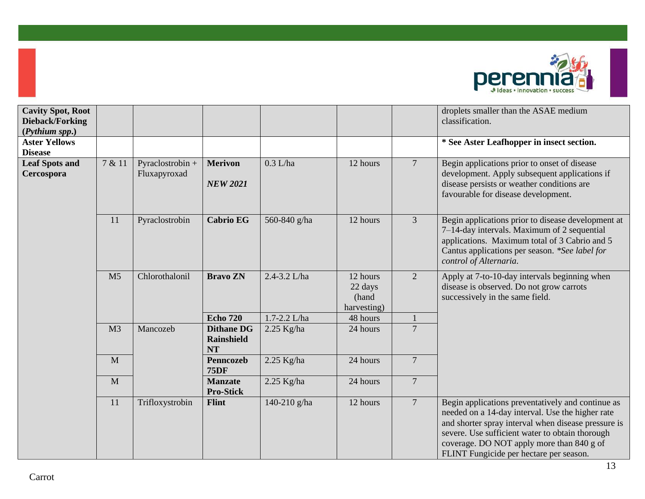

| <b>Cavity Spot, Root</b><br>Dieback/Forking<br>(Pythium spp.) |                |                                  |                                                     |              |                                             |                  | droplets smaller than the ASAE medium<br>classification.                                                                                                                                                                                                                                                |
|---------------------------------------------------------------|----------------|----------------------------------|-----------------------------------------------------|--------------|---------------------------------------------|------------------|---------------------------------------------------------------------------------------------------------------------------------------------------------------------------------------------------------------------------------------------------------------------------------------------------------|
| <b>Aster Yellows</b><br><b>Disease</b>                        |                |                                  |                                                     |              |                                             |                  | * See Aster Leafhopper in insect section.                                                                                                                                                                                                                                                               |
| <b>Leaf Spots and</b><br>Cercospora                           | 7 & 11         | Pyraclostrobin +<br>Fluxapyroxad | <b>Merivon</b><br><b>NEW 2021</b>                   | $0.3$ L/ha   | 12 hours                                    | $\overline{7}$   | Begin applications prior to onset of disease<br>development. Apply subsequent applications if<br>disease persists or weather conditions are<br>favourable for disease development.                                                                                                                      |
|                                                               | 11             | Pyraclostrobin                   | <b>Cabrio EG</b>                                    | 560-840 g/ha | 12 hours                                    | $\mathfrak{Z}$   | Begin applications prior to disease development at<br>7-14-day intervals. Maximum of 2 sequential<br>applications. Maximum total of 3 Cabrio and 5<br>Cantus applications per season. *See label for<br>control of Alternaria.                                                                          |
|                                                               | M <sub>5</sub> | Chlorothalonil                   | <b>Bravo ZN</b>                                     | 2.4-3.2 L/ha | 12 hours<br>22 days<br>(hand<br>harvesting) | $\overline{2}$   | Apply at 7-to-10-day intervals beginning when<br>disease is observed. Do not grow carrots<br>successively in the same field.                                                                                                                                                                            |
|                                                               |                |                                  | <b>Echo 720</b>                                     | 1.7-2.2 L/ha | 48 hours                                    |                  |                                                                                                                                                                                                                                                                                                         |
|                                                               | M <sub>3</sub> | Mancozeb                         | <b>Dithane DG</b><br><b>Rainshield</b><br><b>NT</b> | $2.25$ Kg/ha | 24 hours                                    | $\boldsymbol{7}$ |                                                                                                                                                                                                                                                                                                         |
|                                                               | M              |                                  | Penncozeb<br><b>75DF</b>                            | $2.25$ Kg/ha | 24 hours                                    | $\boldsymbol{7}$ |                                                                                                                                                                                                                                                                                                         |
|                                                               | M              |                                  | <b>Manzate</b><br><b>Pro-Stick</b>                  | $2.25$ Kg/ha | 24 hours                                    | $\overline{7}$   |                                                                                                                                                                                                                                                                                                         |
|                                                               | 11             | Trifloxystrobin                  | <b>Flint</b>                                        | 140-210 g/ha | 12 hours                                    | $7\phantom{.0}$  | Begin applications preventatively and continue as<br>needed on a 14-day interval. Use the higher rate<br>and shorter spray interval when disease pressure is<br>severe. Use sufficient water to obtain thorough<br>coverage. DO NOT apply more than 840 g of<br>FLINT Fungicide per hectare per season. |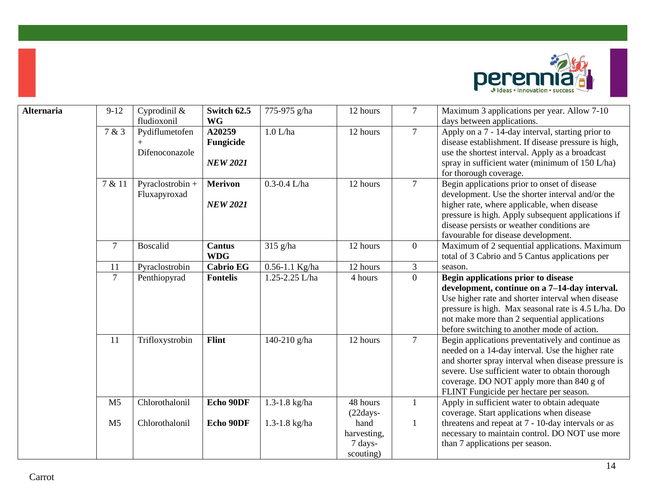

| <b>Alternaria</b> | $9-12$         | Cyprodinil &<br>fludioxonil      | Switch 62.5<br><b>WG</b>               | 775-975 g/ha     | 12 hours                                    | $\overline{7}$ | Maximum 3 applications per year. Allow 7-10<br>days between applications.                                                                                                                                                                                                                               |
|-------------------|----------------|----------------------------------|----------------------------------------|------------------|---------------------------------------------|----------------|---------------------------------------------------------------------------------------------------------------------------------------------------------------------------------------------------------------------------------------------------------------------------------------------------------|
|                   | 7 & 3          | Pydiflumetofen<br>Difenoconazole | A20259<br>Fungicide<br><b>NEW 2021</b> | $1.0$ L/ha       | 12 hours                                    | $\overline{7}$ | Apply on a 7 - 14-day interval, starting prior to<br>disease establishment. If disease pressure is high,<br>use the shortest interval. Apply as a broadcast<br>spray in sufficient water (minimum of 150 L/ha)<br>for thorough coverage.                                                                |
|                   | 7 & 11         | Pyraclostrobin +<br>Fluxapyroxad | <b>Merivon</b><br><b>NEW 2021</b>      | $0.3 - 0.4$ L/ha | 12 hours                                    | $\tau$         | Begin applications prior to onset of disease<br>development. Use the shorter interval and/or the<br>higher rate, where applicable, when disease<br>pressure is high. Apply subsequent applications if<br>disease persists or weather conditions are<br>favourable for disease development.              |
|                   | 7              | <b>Boscalid</b>                  | <b>Cantus</b><br><b>WDG</b>            | 315 g/ha         | 12 hours                                    | $\mathbf{0}$   | Maximum of 2 sequential applications. Maximum<br>total of 3 Cabrio and 5 Cantus applications per                                                                                                                                                                                                        |
|                   | 11             | Pyraclostrobin                   | <b>Cabrio EG</b>                       | 0.56-1.1 Kg/ha   | 12 hours                                    | 3              | season.                                                                                                                                                                                                                                                                                                 |
|                   | $\overline{7}$ | Penthiopyrad                     | <b>Fontelis</b>                        | 1.25-2.25 L/ha   | 4 hours                                     | $\overline{0}$ | Begin applications prior to disease<br>development, continue on a 7-14-day interval.<br>Use higher rate and shorter interval when disease<br>pressure is high. Max seasonal rate is 4.5 L/ha. Do<br>not make more than 2 sequential applications<br>before switching to another mode of action.         |
|                   | 11             | Trifloxystrobin                  | Flint                                  | 140-210 g/ha     | 12 hours                                    | $\tau$         | Begin applications preventatively and continue as<br>needed on a 14-day interval. Use the higher rate<br>and shorter spray interval when disease pressure is<br>severe. Use sufficient water to obtain thorough<br>coverage. DO NOT apply more than 840 g of<br>FLINT Fungicide per hectare per season. |
|                   | M <sub>5</sub> | Chlorothalonil                   | Echo 90DF                              | 1.3-1.8 kg/ha    | 48 hours<br>$(22 days -$                    | $\mathbf{1}$   | Apply in sufficient water to obtain adequate<br>coverage. Start applications when disease                                                                                                                                                                                                               |
|                   | M <sub>5</sub> | Chlorothalonil                   | Echo 90DF                              | 1.3-1.8 kg/ha    | hand<br>harvesting,<br>7 days-<br>scouting) | $\mathbf{1}$   | threatens and repeat at 7 - 10-day intervals or as<br>necessary to maintain control. DO NOT use more<br>than 7 applications per season.                                                                                                                                                                 |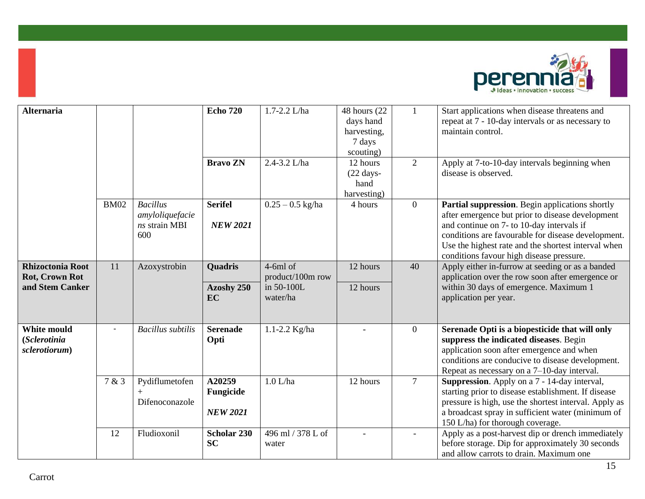

| <b>Alternaria</b>                                                   |             |                                                            | <b>Echo 720</b>                        | 1.7-2.2 L/ha                                             | 48 hours (22)<br>days hand<br>harvesting,<br>7 days<br>scouting) | $\mathbf{1}$             | Start applications when disease threatens and<br>repeat at 7 - 10-day intervals or as necessary to<br>maintain control.                                                                                                                                                                                   |
|---------------------------------------------------------------------|-------------|------------------------------------------------------------|----------------------------------------|----------------------------------------------------------|------------------------------------------------------------------|--------------------------|-----------------------------------------------------------------------------------------------------------------------------------------------------------------------------------------------------------------------------------------------------------------------------------------------------------|
|                                                                     |             |                                                            | <b>Bravo ZN</b>                        | 2.4-3.2 L/ha                                             | 12 hours<br>$(22 \text{ days} -$<br>hand<br>harvesting)          | 2                        | Apply at 7-to-10-day intervals beginning when<br>disease is observed.                                                                                                                                                                                                                                     |
|                                                                     | <b>BM02</b> | <b>Bacillus</b><br>amyloliquefacie<br>ns strain MBI<br>600 | <b>Serifel</b><br><b>NEW 2021</b>      | $0.25 - 0.5$ kg/ha                                       | 4 hours                                                          | $\mathbf{0}$             | Partial suppression. Begin applications shortly<br>after emergence but prior to disease development<br>and continue on 7- to 10-day intervals if<br>conditions are favourable for disease development.<br>Use the highest rate and the shortest interval when<br>conditions favour high disease pressure. |
| <b>Rhizoctonia Root</b><br><b>Rot, Crown Rot</b><br>and Stem Canker | 11          | Azoxystrobin                                               | <b>Quadris</b><br>Azoshy 250<br>EC     | $4-6ml$ of<br>product/100m row<br>in 50-100L<br>water/ha | 12 hours<br>12 hours                                             | 40                       | Apply either in-furrow at seeding or as a banded<br>application over the row soon after emergence or<br>within 30 days of emergence. Maximum 1<br>application per year.                                                                                                                                   |
| <b>White mould</b><br>(Sclerotinia<br>sclerotiorum)                 |             | <b>Bacillus</b> subtilis                                   | <b>Serenade</b><br>Opti                | 1.1-2.2 $Kg/ha$                                          |                                                                  | $\overline{0}$           | Serenade Opti is a biopesticide that will only<br>suppress the indicated diseases. Begin<br>application soon after emergence and when<br>conditions are conducive to disease development.<br>Repeat as necessary on a $7-10$ -day interval.                                                               |
|                                                                     | 7 & 3       | Pydiflumetofen<br>Difenoconazole                           | A20259<br>Fungicide<br><b>NEW 2021</b> | $1.0$ L/ha                                               | 12 hours                                                         | $7\overline{ }$          | Suppression. Apply on a 7 - 14-day interval,<br>starting prior to disease establishment. If disease<br>pressure is high, use the shortest interval. Apply as<br>a broadcast spray in sufficient water (minimum of<br>150 L/ha) for thorough coverage.                                                     |
|                                                                     | 12          | Fludioxonil                                                | Scholar 230<br><b>SC</b>               | 496 ml / 378 L of<br>water                               |                                                                  | $\overline{\phantom{a}}$ | Apply as a post-harvest dip or drench immediately<br>before storage. Dip for approximately 30 seconds<br>and allow carrots to drain. Maximum one                                                                                                                                                          |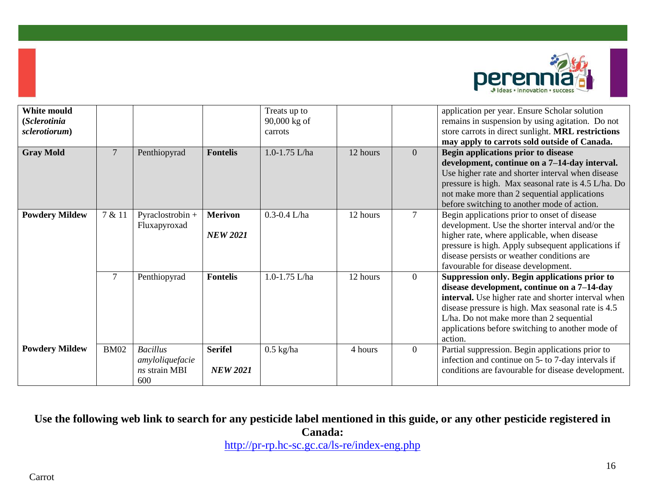

| White mould<br>(Sclerotinia<br>sclerotiorum) |                |                                                            |                                   | Treats up to<br>90,000 kg of<br>carrots |          |                | application per year. Ensure Scholar solution<br>remains in suspension by using agitation. Do not<br>store carrots in direct sunlight. MRL restrictions<br>may apply to carrots sold outside of Canada.                                                                                                              |
|----------------------------------------------|----------------|------------------------------------------------------------|-----------------------------------|-----------------------------------------|----------|----------------|----------------------------------------------------------------------------------------------------------------------------------------------------------------------------------------------------------------------------------------------------------------------------------------------------------------------|
| <b>Gray Mold</b>                             | $\overline{7}$ | Penthiopyrad                                               | <b>Fontelis</b>                   | $1.0 - 1.75$ L/ha                       | 12 hours | $\overline{0}$ | Begin applications prior to disease<br>development, continue on a 7-14-day interval.<br>Use higher rate and shorter interval when disease<br>pressure is high. Max seasonal rate is 4.5 L/ha. Do<br>not make more than 2 sequential applications<br>before switching to another mode of action.                      |
| <b>Powdery Mildew</b>                        | 7 & 11         | Pyraclostrobin +<br>Fluxapyroxad                           | <b>Merivon</b><br><b>NEW 2021</b> | $0.3 - 0.4$ L/ha                        | 12 hours | 7              | Begin applications prior to onset of disease<br>development. Use the shorter interval and/or the<br>higher rate, where applicable, when disease<br>pressure is high. Apply subsequent applications if<br>disease persists or weather conditions are<br>favourable for disease development.                           |
|                                              | $\tau$         | Penthiopyrad                                               | <b>Fontelis</b>                   | 1.0-1.75 L/ha                           | 12 hours | $\mathbf{0}$   | Suppression only. Begin applications prior to<br>disease development, continue on a 7-14-day<br>interval. Use higher rate and shorter interval when<br>disease pressure is high. Max seasonal rate is 4.5<br>L/ha. Do not make more than 2 sequential<br>applications before switching to another mode of<br>action. |
| <b>Powdery Mildew</b>                        | <b>BM02</b>    | <b>Bacillus</b><br>amyloliquefacie<br>ns strain MBI<br>600 | <b>Serifel</b><br><b>NEW 2021</b> | $0.5$ kg/ha                             | 4 hours  | $\mathbf{0}$   | Partial suppression. Begin applications prior to<br>infection and continue on 5- to 7-day intervals if<br>conditions are favourable for disease development.                                                                                                                                                         |

## **Use the following web link to search for any pesticide label mentioned in this guide, or any other pesticide registered in Canada:**

<http://pr-rp.hc-sc.gc.ca/ls-re/index-eng.php>